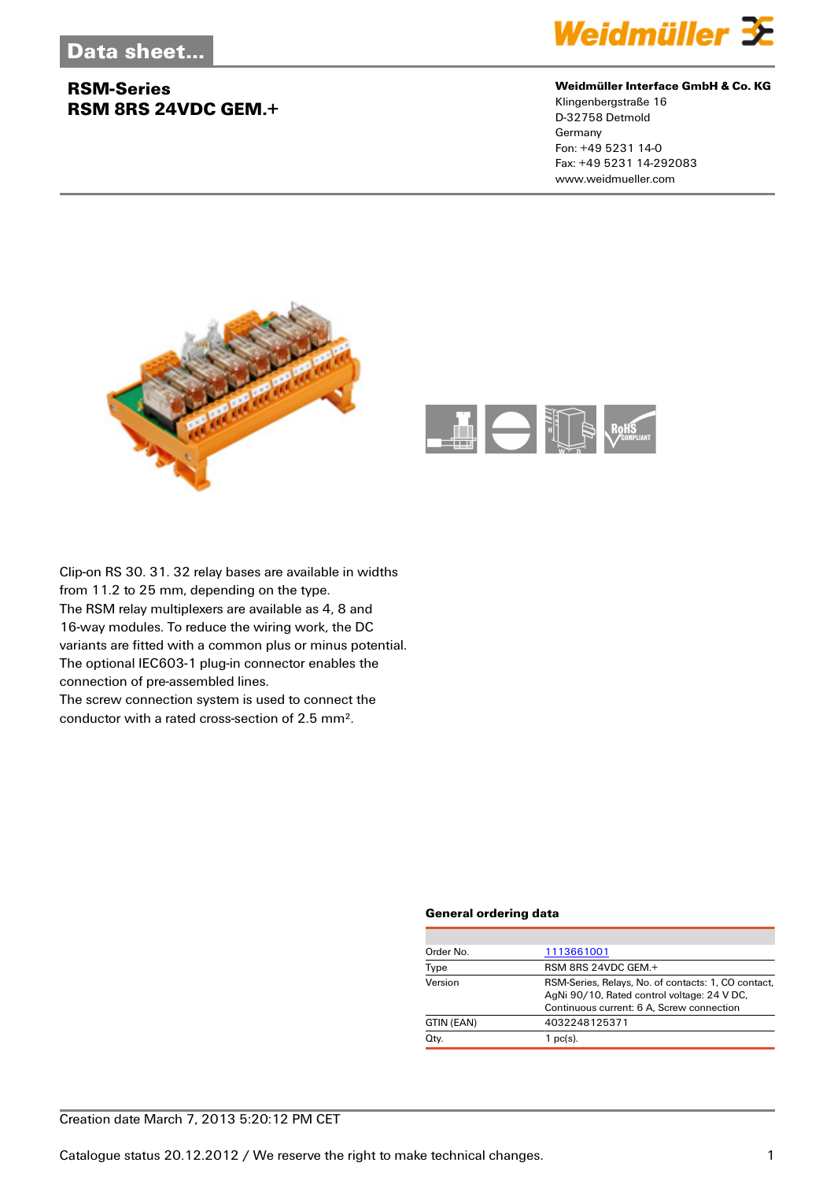## **RSM-Series RSM 8RS 24VDC GEM.+**



#### **Weidmüller Interface GmbH & Co. KG**

Klingenbergstraße 16 D-32758 Detmold Germany Fon: +49 5231 14-0 Fax: +49 5231 14-292083 www.weidmueller.com





Clip-on RS 30. 31. 32 relay bases are available in widths from 11.2 to 25 mm, depending on the type. The RSM relay multiplexers are available as 4, 8 and 16-way modules. To reduce the wiring work, the DC variants are fitted with a common plus or minus potential. The optional IEC603-1 plug-in connector enables the connection of pre-assembled lines. The screw connection system is used to connect the

conductor with a rated cross-section of 2.5 mm².

#### **General ordering data**

| Order No.  | 1113661001                                                                                                                                      |
|------------|-------------------------------------------------------------------------------------------------------------------------------------------------|
| Type       | RSM 8RS 24VDC GEM.+                                                                                                                             |
| Version    | RSM-Series, Relays, No. of contacts: 1, CO contact,<br>AgNi 90/10, Rated control voltage: 24 V DC,<br>Continuous current: 6 A, Screw connection |
| GTIN (EAN) | 4032248125371                                                                                                                                   |
| Qty.       | $1$ pc(s).                                                                                                                                      |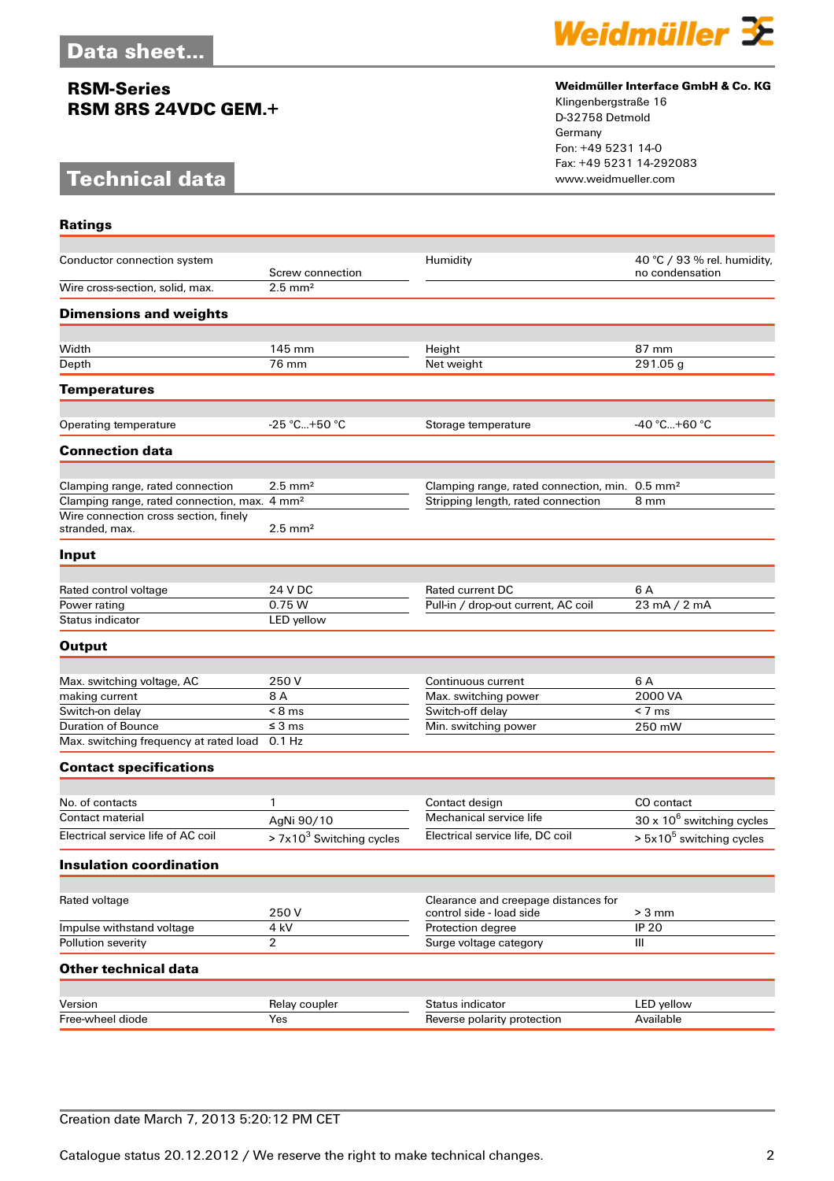## **RSM-Series RSM 8RS 24VDC GEM.+**

# **Technical data**



### **Weidmüller Interface GmbH & Co. KG**

Klingenbergstraße 16 D-32758 Detmold Germany Fon: +49 5231 14-0 Fax: +49 5231 14-292083

| <b>Ratings</b>                                           |                            |                                                                  |                                                |
|----------------------------------------------------------|----------------------------|------------------------------------------------------------------|------------------------------------------------|
| Conductor connection system                              | Screw connection           | Humidity                                                         | 40 °C / 93 % rel. humidity,<br>no condensation |
| Wire cross-section, solid, max.                          | $2.5$ mm <sup>2</sup>      |                                                                  |                                                |
| <b>Dimensions and weights</b>                            |                            |                                                                  |                                                |
| Width                                                    | 145 mm                     | Height                                                           | 87 mm                                          |
| Depth                                                    | 76 mm                      | Net weight                                                       | 291.05 g                                       |
| <b>Temperatures</b>                                      |                            |                                                                  |                                                |
|                                                          | $-25$ °C+50 °C             |                                                                  | $-40 °C+60 °C$                                 |
| Operating temperature                                    |                            | Storage temperature                                              |                                                |
| <b>Connection data</b>                                   |                            |                                                                  |                                                |
| Clamping range, rated connection                         | $2.5 \text{ mm}^2$         | Clamping range, rated connection, min. 0.5 mm <sup>2</sup>       |                                                |
| Clamping range, rated connection, max. 4 mm <sup>2</sup> |                            | Stripping length, rated connection                               | 8 mm                                           |
| Wire connection cross section, finely<br>stranded, max.  | $2.5 \text{ mm}^2$         |                                                                  |                                                |
| Input                                                    |                            |                                                                  |                                                |
| Rated control voltage                                    | 24 V DC                    | Rated current DC                                                 | 6 A                                            |
| Power rating                                             | 0.75 W                     | Pull-in / drop-out current, AC coil                              | 23 mA / 2 mA                                   |
| Status indicator                                         | LED yellow                 |                                                                  |                                                |
| <b>Output</b>                                            |                            |                                                                  |                                                |
|                                                          |                            |                                                                  |                                                |
| Max. switching voltage, AC<br>making current             | 250 V<br>8 A               | Continuous current<br>Max. switching power                       | 6 A<br>2000 VA                                 |
| Switch-on delay                                          | $< 8$ ms                   | Switch-off delay                                                 | $< 7 \text{ ms}$                               |
| <b>Duration of Bounce</b>                                | $\leq$ 3 ms                | Min. switching power                                             | 250 mW                                         |
| Max. switching frequency at rated load                   | 0.1 Hz                     |                                                                  |                                                |
| <b>Contact specifications</b>                            |                            |                                                                  |                                                |
|                                                          |                            |                                                                  |                                                |
| No. of contacts                                          | 1                          | Contact design                                                   | CO contact                                     |
| <b>Contact material</b>                                  | AgNi 90/10                 | Mechanical service life                                          | $30 \times 10^6$ switching cycles              |
| Electrical service life of AC coil                       | $> 7x103$ Switching cycles | Electrical service life, DC coil                                 | $> 5x105$ switching cycles                     |
| <b>Insulation coordination</b>                           |                            |                                                                  |                                                |
|                                                          |                            |                                                                  |                                                |
| Rated voltage                                            | 250V                       | Clearance and creepage distances for<br>control side - load side | $> 3$ mm                                       |
| Impulse withstand voltage                                | 4 kV                       | Protection degree                                                | <b>IP 20</b>                                   |
| Pollution severity                                       | $\overline{2}$             | Surge voltage category                                           | III                                            |
| <b>Other technical data</b>                              |                            |                                                                  |                                                |
|                                                          |                            |                                                                  |                                                |
| Version                                                  | Relay coupler              | Status indicator                                                 | LED yellow                                     |
| Free-wheel diode                                         | Yes                        | Reverse polarity protection                                      | Available                                      |